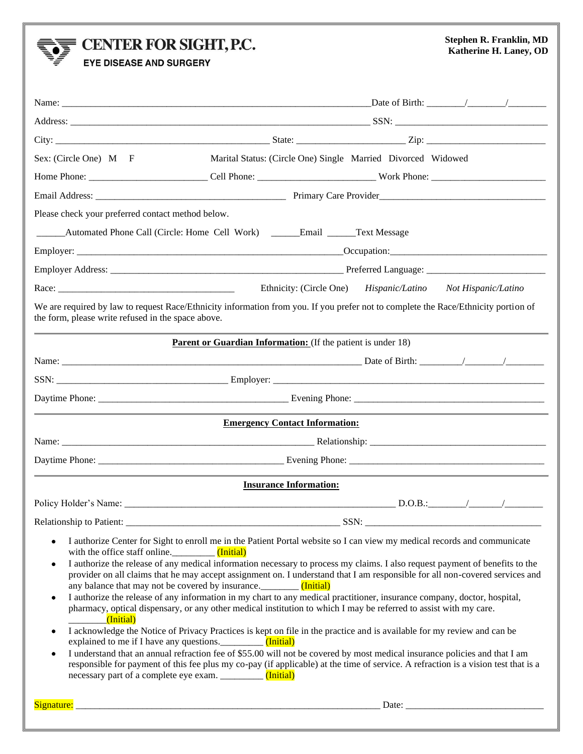## $\sum_{i=1}^{n}$  CENTER FOR SIGHT, P.C.

## **Stephen R. Franklin, MD Katherine H. Laney, OD**

**EYE DISEASE AND SURGERY** 

| Sex: (Circle One) M F                                   | Marital Status: (Circle One) Single Married Divorced Widowed                                                                                                                                                                                                                                                                                                                                                                                                                                                                                                                                                                                                                                                                                                                                                                                                                                                                                                                                                                                                                                             |                                     |
|---------------------------------------------------------|----------------------------------------------------------------------------------------------------------------------------------------------------------------------------------------------------------------------------------------------------------------------------------------------------------------------------------------------------------------------------------------------------------------------------------------------------------------------------------------------------------------------------------------------------------------------------------------------------------------------------------------------------------------------------------------------------------------------------------------------------------------------------------------------------------------------------------------------------------------------------------------------------------------------------------------------------------------------------------------------------------------------------------------------------------------------------------------------------------|-------------------------------------|
|                                                         |                                                                                                                                                                                                                                                                                                                                                                                                                                                                                                                                                                                                                                                                                                                                                                                                                                                                                                                                                                                                                                                                                                          |                                     |
|                                                         |                                                                                                                                                                                                                                                                                                                                                                                                                                                                                                                                                                                                                                                                                                                                                                                                                                                                                                                                                                                                                                                                                                          |                                     |
| Please check your preferred contact method below.       |                                                                                                                                                                                                                                                                                                                                                                                                                                                                                                                                                                                                                                                                                                                                                                                                                                                                                                                                                                                                                                                                                                          |                                     |
|                                                         | Automated Phone Call (Circle: Home Cell Work) ________Email _______Text Message                                                                                                                                                                                                                                                                                                                                                                                                                                                                                                                                                                                                                                                                                                                                                                                                                                                                                                                                                                                                                          |                                     |
|                                                         |                                                                                                                                                                                                                                                                                                                                                                                                                                                                                                                                                                                                                                                                                                                                                                                                                                                                                                                                                                                                                                                                                                          |                                     |
|                                                         |                                                                                                                                                                                                                                                                                                                                                                                                                                                                                                                                                                                                                                                                                                                                                                                                                                                                                                                                                                                                                                                                                                          |                                     |
|                                                         | Ethnicity: (Circle One)                                                                                                                                                                                                                                                                                                                                                                                                                                                                                                                                                                                                                                                                                                                                                                                                                                                                                                                                                                                                                                                                                  | Hispanic/Latino Not Hispanic/Latino |
| the form, please write refused in the space above.      | We are required by law to request Race/Ethnicity information from you. If you prefer not to complete the Race/Ethnicity portion of                                                                                                                                                                                                                                                                                                                                                                                                                                                                                                                                                                                                                                                                                                                                                                                                                                                                                                                                                                       |                                     |
|                                                         | <b>Parent or Guardian Information:</b> (If the patient is under 18)                                                                                                                                                                                                                                                                                                                                                                                                                                                                                                                                                                                                                                                                                                                                                                                                                                                                                                                                                                                                                                      |                                     |
|                                                         |                                                                                                                                                                                                                                                                                                                                                                                                                                                                                                                                                                                                                                                                                                                                                                                                                                                                                                                                                                                                                                                                                                          |                                     |
|                                                         |                                                                                                                                                                                                                                                                                                                                                                                                                                                                                                                                                                                                                                                                                                                                                                                                                                                                                                                                                                                                                                                                                                          |                                     |
|                                                         |                                                                                                                                                                                                                                                                                                                                                                                                                                                                                                                                                                                                                                                                                                                                                                                                                                                                                                                                                                                                                                                                                                          |                                     |
|                                                         | <b>Emergency Contact Information:</b>                                                                                                                                                                                                                                                                                                                                                                                                                                                                                                                                                                                                                                                                                                                                                                                                                                                                                                                                                                                                                                                                    |                                     |
|                                                         |                                                                                                                                                                                                                                                                                                                                                                                                                                                                                                                                                                                                                                                                                                                                                                                                                                                                                                                                                                                                                                                                                                          |                                     |
|                                                         |                                                                                                                                                                                                                                                                                                                                                                                                                                                                                                                                                                                                                                                                                                                                                                                                                                                                                                                                                                                                                                                                                                          |                                     |
|                                                         | <b>Insurance Information:</b>                                                                                                                                                                                                                                                                                                                                                                                                                                                                                                                                                                                                                                                                                                                                                                                                                                                                                                                                                                                                                                                                            |                                     |
|                                                         |                                                                                                                                                                                                                                                                                                                                                                                                                                                                                                                                                                                                                                                                                                                                                                                                                                                                                                                                                                                                                                                                                                          |                                     |
| Relationship to Patient:                                | SSN:                                                                                                                                                                                                                                                                                                                                                                                                                                                                                                                                                                                                                                                                                                                                                                                                                                                                                                                                                                                                                                                                                                     |                                     |
| $\bullet$<br>(Initial)<br>$\overline{\phantom{a}}$<br>٠ | I authorize Center for Sight to enroll me in the Patient Portal website so I can view my medical records and communicate<br>I authorize the release of any medical information necessary to process my claims. I also request payment of benefits to the<br>provider on all claims that he may accept assignment on. I understand that I am responsible for all non-covered services and<br>I authorize the release of any information in my chart to any medical practitioner, insurance company, doctor, hospital,<br>pharmacy, optical dispensary, or any other medical institution to which I may be referred to assist with my care.<br>I acknowledge the Notice of Privacy Practices is kept on file in the practice and is available for my review and can be<br>I understand that an annual refraction fee of \$55.00 will not be covered by most medical insurance policies and that I am<br>responsible for payment of this fee plus my co-pay (if applicable) at the time of service. A refraction is a vision test that is a<br>necessary part of a complete eye exam. ___________ (Initial) |                                     |
|                                                         |                                                                                                                                                                                                                                                                                                                                                                                                                                                                                                                                                                                                                                                                                                                                                                                                                                                                                                                                                                                                                                                                                                          |                                     |
|                                                         |                                                                                                                                                                                                                                                                                                                                                                                                                                                                                                                                                                                                                                                                                                                                                                                                                                                                                                                                                                                                                                                                                                          |                                     |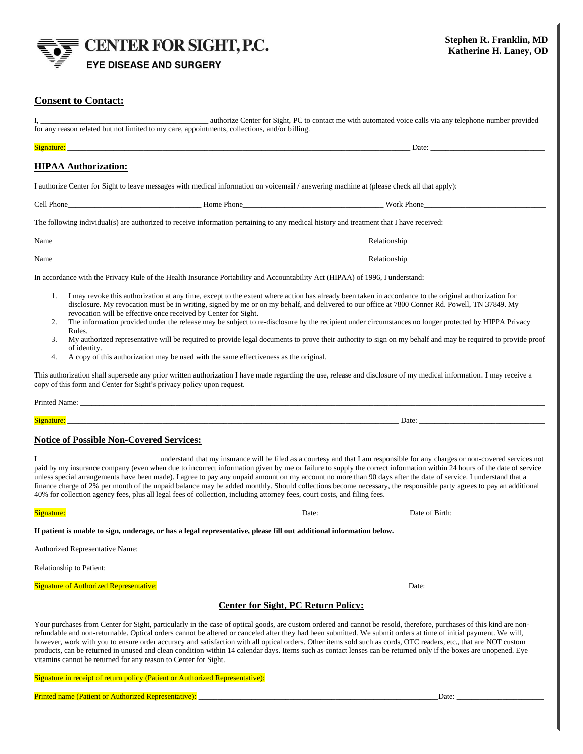

E CENTER FOR SIGHT, P.C.

**EYE DISEASE AND SURGERY** 

| <b>Consent to Contact:</b>                                                                                                                                                                                                                                                                                                                                                                                                                                                                                                                                                                                                                                                                                                                                                                                                     |                                                                                                                                                                                                                                                                                                                                                                                                                                                                                                                                                                                                                                 |  |  |
|--------------------------------------------------------------------------------------------------------------------------------------------------------------------------------------------------------------------------------------------------------------------------------------------------------------------------------------------------------------------------------------------------------------------------------------------------------------------------------------------------------------------------------------------------------------------------------------------------------------------------------------------------------------------------------------------------------------------------------------------------------------------------------------------------------------------------------|---------------------------------------------------------------------------------------------------------------------------------------------------------------------------------------------------------------------------------------------------------------------------------------------------------------------------------------------------------------------------------------------------------------------------------------------------------------------------------------------------------------------------------------------------------------------------------------------------------------------------------|--|--|
| for any reason related but not limited to my care, appointments, collections, and/or billing.                                                                                                                                                                                                                                                                                                                                                                                                                                                                                                                                                                                                                                                                                                                                  | authorize Center for Sight, PC to contact me with automated voice calls via any telephone number provided                                                                                                                                                                                                                                                                                                                                                                                                                                                                                                                       |  |  |
|                                                                                                                                                                                                                                                                                                                                                                                                                                                                                                                                                                                                                                                                                                                                                                                                                                |                                                                                                                                                                                                                                                                                                                                                                                                                                                                                                                                                                                                                                 |  |  |
| <b>HIPAA Authorization:</b>                                                                                                                                                                                                                                                                                                                                                                                                                                                                                                                                                                                                                                                                                                                                                                                                    |                                                                                                                                                                                                                                                                                                                                                                                                                                                                                                                                                                                                                                 |  |  |
| I authorize Center for Sight to leave messages with medical information on voicemail / answering machine at (please check all that apply):                                                                                                                                                                                                                                                                                                                                                                                                                                                                                                                                                                                                                                                                                     |                                                                                                                                                                                                                                                                                                                                                                                                                                                                                                                                                                                                                                 |  |  |
|                                                                                                                                                                                                                                                                                                                                                                                                                                                                                                                                                                                                                                                                                                                                                                                                                                |                                                                                                                                                                                                                                                                                                                                                                                                                                                                                                                                                                                                                                 |  |  |
| The following individual(s) are authorized to receive information pertaining to any medical history and treatment that I have received:                                                                                                                                                                                                                                                                                                                                                                                                                                                                                                                                                                                                                                                                                        |                                                                                                                                                                                                                                                                                                                                                                                                                                                                                                                                                                                                                                 |  |  |
|                                                                                                                                                                                                                                                                                                                                                                                                                                                                                                                                                                                                                                                                                                                                                                                                                                | Name Relationship Relationship Relationship                                                                                                                                                                                                                                                                                                                                                                                                                                                                                                                                                                                     |  |  |
| Name experience and the contract of the contract of the contract of the contract of the contract of the contract of the contract of the contract of the contract of the contract of the contract of the contract of the contra                                                                                                                                                                                                                                                                                                                                                                                                                                                                                                                                                                                                 | Relationship<br><u>Relationship</u>                                                                                                                                                                                                                                                                                                                                                                                                                                                                                                                                                                                             |  |  |
| In accordance with the Privacy Rule of the Health Insurance Portability and Accountability Act (HIPAA) of 1996, I understand:                                                                                                                                                                                                                                                                                                                                                                                                                                                                                                                                                                                                                                                                                                  |                                                                                                                                                                                                                                                                                                                                                                                                                                                                                                                                                                                                                                 |  |  |
| 1.<br>revocation will be effective once received by Center for Sight.<br>2.<br>Rules.<br>3.<br>of identity.<br>A copy of this authorization may be used with the same effectiveness as the original.<br>4.                                                                                                                                                                                                                                                                                                                                                                                                                                                                                                                                                                                                                     | I may revoke this authorization at any time, except to the extent where action has already been taken in accordance to the original authorization for<br>disclosure. My revocation must be in writing, signed by me or on my behalf, and delivered to our office at 7800 Conner Rd. Powell, TN 37849. My<br>The information provided under the release may be subject to re-disclosure by the recipient under circumstances no longer protected by HIPPA Privacy<br>My authorized representative will be required to provide legal documents to prove their authority to sign on my behalf and may be required to provide proof |  |  |
| This authorization shall supersede any prior written authorization I have made regarding the use, release and disclosure of my medical information. I may receive a<br>copy of this form and Center for Sight's privacy policy upon request.                                                                                                                                                                                                                                                                                                                                                                                                                                                                                                                                                                                   |                                                                                                                                                                                                                                                                                                                                                                                                                                                                                                                                                                                                                                 |  |  |
|                                                                                                                                                                                                                                                                                                                                                                                                                                                                                                                                                                                                                                                                                                                                                                                                                                |                                                                                                                                                                                                                                                                                                                                                                                                                                                                                                                                                                                                                                 |  |  |
|                                                                                                                                                                                                                                                                                                                                                                                                                                                                                                                                                                                                                                                                                                                                                                                                                                | Signature: Date: Date: Detection of the Contract of the Contract of the Contract of the Contract of the Contract of the Contract of the Contract of the Contract of the Contract of the Contract of the Contract of the Contra                                                                                                                                                                                                                                                                                                                                                                                                  |  |  |
| <b>Notice of Possible Non-Covered Services:</b><br>understand that my insurance will be filed as a courtesy and that I am responsible for any charges or non-covered services not<br>paid by my insurance company (even when due to incorrect information given by me or failure to supply the correct information within 24 hours of the date of service<br>unless special arrangements have been made). I agree to pay any unpaid amount on my account no more than 90 days after the date of service. I understand that a<br>finance charge of 2% per month of the unpaid balance may be added monthly. Should collections become necessary, the responsible party agrees to pay an additional<br>40% for collection agency fees, plus all legal fees of collection, including attorney fees, court costs, and filing fees. |                                                                                                                                                                                                                                                                                                                                                                                                                                                                                                                                                                                                                                 |  |  |
| Signature:<br>Date: $\overline{\phantom{0}}$                                                                                                                                                                                                                                                                                                                                                                                                                                                                                                                                                                                                                                                                                                                                                                                   | Date of Birth:                                                                                                                                                                                                                                                                                                                                                                                                                                                                                                                                                                                                                  |  |  |
| If patient is unable to sign, underage, or has a legal representative, please fill out additional information below.                                                                                                                                                                                                                                                                                                                                                                                                                                                                                                                                                                                                                                                                                                           |                                                                                                                                                                                                                                                                                                                                                                                                                                                                                                                                                                                                                                 |  |  |
|                                                                                                                                                                                                                                                                                                                                                                                                                                                                                                                                                                                                                                                                                                                                                                                                                                |                                                                                                                                                                                                                                                                                                                                                                                                                                                                                                                                                                                                                                 |  |  |
|                                                                                                                                                                                                                                                                                                                                                                                                                                                                                                                                                                                                                                                                                                                                                                                                                                |                                                                                                                                                                                                                                                                                                                                                                                                                                                                                                                                                                                                                                 |  |  |
|                                                                                                                                                                                                                                                                                                                                                                                                                                                                                                                                                                                                                                                                                                                                                                                                                                |                                                                                                                                                                                                                                                                                                                                                                                                                                                                                                                                                                                                                                 |  |  |
| <b>Center for Sight, PC Return Policy:</b>                                                                                                                                                                                                                                                                                                                                                                                                                                                                                                                                                                                                                                                                                                                                                                                     |                                                                                                                                                                                                                                                                                                                                                                                                                                                                                                                                                                                                                                 |  |  |
| Your purchases from Center for Sight, particularly in the case of optical goods, are custom ordered and cannot be resold, therefore, purchases of this kind are non-<br>refundable and non-returnable. Optical orders cannot be altered or canceled after they had been submitted. We submit orders at time of initial payment. We will,<br>however, work with you to ensure order accuracy and satisfaction with all optical orders. Other items sold such as cords, OTC readers, etc., that are NOT custom<br>products, can be returned in unused and clean condition within 14 calendar days. Items such as contact lenses can be returned only if the boxes are unopened. Eye<br>vitamins cannot be returned for any reason to Center for Sight.                                                                           |                                                                                                                                                                                                                                                                                                                                                                                                                                                                                                                                                                                                                                 |  |  |
|                                                                                                                                                                                                                                                                                                                                                                                                                                                                                                                                                                                                                                                                                                                                                                                                                                |                                                                                                                                                                                                                                                                                                                                                                                                                                                                                                                                                                                                                                 |  |  |
|                                                                                                                                                                                                                                                                                                                                                                                                                                                                                                                                                                                                                                                                                                                                                                                                                                | Date:                                                                                                                                                                                                                                                                                                                                                                                                                                                                                                                                                                                                                           |  |  |